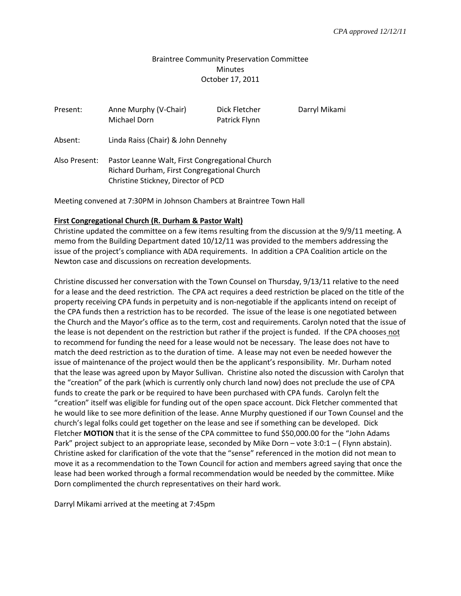## Braintree Community Preservation Committee **Minutes** October 17, 2011

| Present:      | Anne Murphy (V-Chair)<br>Michael Dorn                                                                                                 | Dick Fletcher<br>Patrick Flynn | Darryl Mikami |
|---------------|---------------------------------------------------------------------------------------------------------------------------------------|--------------------------------|---------------|
| Absent:       | Linda Raiss (Chair) & John Dennehy                                                                                                    |                                |               |
| Also Present: | Pastor Leanne Walt, First Congregational Church<br>Richard Durham, First Congregational Church<br>Christine Stickney, Director of PCD |                                |               |

Meeting convened at 7:30PM in Johnson Chambers at Braintree Town Hall

## **First Congregational Church (R. Durham & Pastor Walt)**

Christine updated the committee on a few items resulting from the discussion at the 9/9/11 meeting. A memo from the Building Department dated 10/12/11 was provided to the members addressing the issue of the project's compliance with ADA requirements. In addition a CPA Coalition article on the Newton case and discussions on recreation developments.

Christine discussed her conversation with the Town Counsel on Thursday, 9/13/11 relative to the need for a lease and the deed restriction. The CPA act requires a deed restriction be placed on the title of the property receiving CPA funds in perpetuity and is non-negotiable if the applicants intend on receipt of the CPA funds then a restriction has to be recorded. The issue of the lease is one negotiated between the Church and the Mayor's office as to the term, cost and requirements. Carolyn noted that the issue of the lease is not dependent on the restriction but rather if the project is funded. If the CPA chooses not to recommend for funding the need for a lease would not be necessary. The lease does not have to match the deed restriction as to the duration of time. A lease may not even be needed however the issue of maintenance of the project would then be the applicant's responsibility. Mr. Durham noted that the lease was agreed upon by Mayor Sullivan. Christine also noted the discussion with Carolyn that the "creation" of the park (which is currently only church land now) does not preclude the use of CPA funds to create the park or be required to have been purchased with CPA funds. Carolyn felt the "creation" itself was eligible for funding out of the open space account. Dick Fletcher commented that he would like to see more definition of the lease. Anne Murphy questioned if our Town Counsel and the church's legal folks could get together on the lease and see if something can be developed. Dick Fletcher **MOTION** that it is the sense of the CPA committee to fund \$50,000.00 for the "John Adams Park" project subject to an appropriate lease, seconded by Mike Dorn – vote 3:0:1 – ( Flynn abstain). Christine asked for clarification of the vote that the "sense" referenced in the motion did not mean to move it as a recommendation to the Town Council for action and members agreed saying that once the lease had been worked through a formal recommendation would be needed by the committee. Mike Dorn complimented the church representatives on their hard work.

Darryl Mikami arrived at the meeting at 7:45pm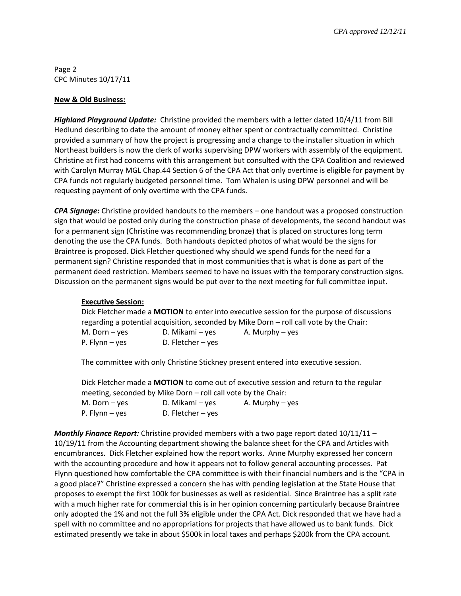Page 2 CPC Minutes 10/17/11

## **New & Old Business:**

*Highland Playground Update:* Christine provided the members with a letter dated 10/4/11 from Bill Hedlund describing to date the amount of money either spent or contractually committed. Christine provided a summary of how the project is progressing and a change to the installer situation in which Northeast builders is now the clerk of works supervising DPW workers with assembly of the equipment. Christine at first had concerns with this arrangement but consulted with the CPA Coalition and reviewed with Carolyn Murray MGL Chap.44 Section 6 of the CPA Act that only overtime is eligible for payment by CPA funds not regularly budgeted personnel time. Tom Whalen is using DPW personnel and will be requesting payment of only overtime with the CPA funds.

*CPA Signage:* Christine provided handouts to the members – one handout was a proposed construction sign that would be posted only during the construction phase of developments, the second handout was for a permanent sign (Christine was recommending bronze) that is placed on structures long term denoting the use the CPA funds. Both handouts depicted photos of what would be the signs for Braintree is proposed. Dick Fletcher questioned why should we spend funds for the need for a permanent sign? Christine responded that in most communities that is what is done as part of the permanent deed restriction. Members seemed to have no issues with the temporary construction signs. Discussion on the permanent signs would be put over to the next meeting for full committee input.

## **Executive Session:**

Dick Fletcher made a **MOTION** to enter into executive session for the purpose of discussions regarding a potential acquisition, seconded by Mike Dorn – roll call vote by the Chair: M. Dorn – yes  $D.$  Mikami – yes  $A.$  Murphy – yes P. Flynn – yes D. Fletcher – yes

The committee with only Christine Stickney present entered into executive session.

Dick Fletcher made a **MOTION** to come out of executive session and return to the regular meeting, seconded by Mike Dorn – roll call vote by the Chair:

| M. Dorn – yes  | D. Mikami – yes     | A. Murphy – yes |
|----------------|---------------------|-----------------|
| P. Flynn – yes | D. Fletcher $-$ yes |                 |

*Monthly Finance Report:* Christine provided members with a two page report dated 10/11/11 – 10/19/11 from the Accounting department showing the balance sheet for the CPA and Articles with encumbrances. Dick Fletcher explained how the report works. Anne Murphy expressed her concern with the accounting procedure and how it appears not to follow general accounting processes. Pat Flynn questioned how comfortable the CPA committee is with their financial numbers and is the "CPA in a good place?" Christine expressed a concern she has with pending legislation at the State House that proposes to exempt the first 100k for businesses as well as residential. Since Braintree has a split rate with a much higher rate for commercial this is in her opinion concerning particularly because Braintree only adopted the 1% and not the full 3% eligible under the CPA Act. Dick responded that we have had a spell with no committee and no appropriations for projects that have allowed us to bank funds. Dick estimated presently we take in about \$500k in local taxes and perhaps \$200k from the CPA account.